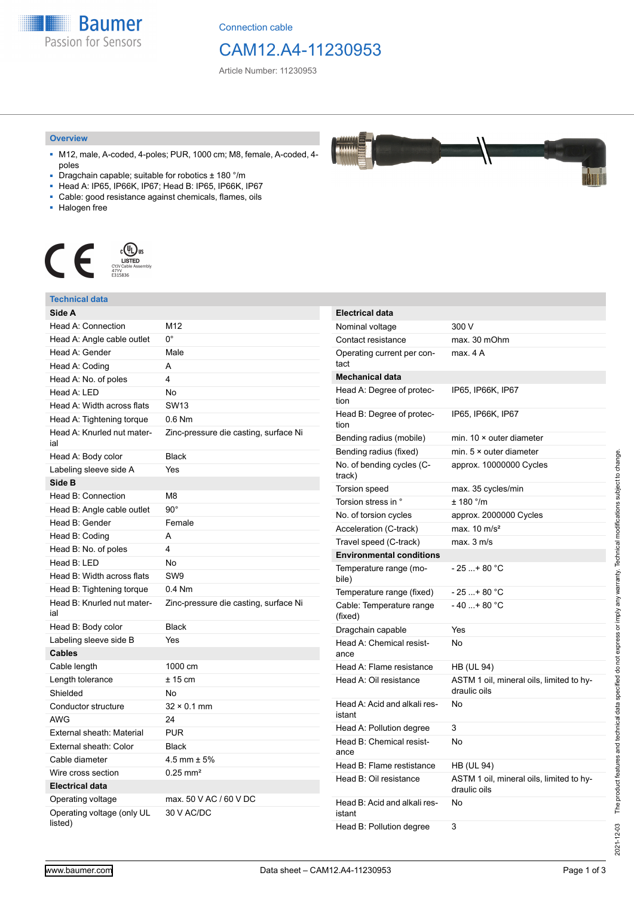**Baumer** Passion for Sensors

Connection cable

## CAM12.A4-11230953

Article Number: 11230953

#### **Overview**

- M12, male, A-coded, 4-poles; PUR, 1000 cm; M8, female, A-coded, 4 poles
- Dragchain capable; suitable for robotics ± 180 °/m
- Head A: IP65, IP66K, IP67; Head B: IP65, IP66K, IP67
- Cable: good resistance against chemicals, flames, oils
- Halogen free



### **Technical data**

| Side A<br>Head A: Connection<br>M12<br>U.<br>Head A: Angle cable outlet<br>Head A: Gender<br>Male<br>Head A: Coding<br>A<br>4<br>Head A: No. of poles<br>Head A: LED<br>No<br>Head A: Width across flats<br><b>SW13</b><br>$0.6$ Nm<br>Head A: Tightening torque<br>Head A: Knurled nut mater-<br>Zinc-pressure die casting, surface Ni<br>ial<br><b>Black</b><br>Head A: Body color<br>Labeling sleeve side A<br>Yes<br>Side B<br>Head B: Connection<br>M <sub>8</sub><br>$90^\circ$<br>Head B: Angle cable outlet<br>Head B: Gender<br>Female<br>Head B: Coding<br>A<br>4<br>Head B: No. of poles<br>Head B: LED<br>No<br>SW <sub>9</sub><br>Head B: Width across flats<br>$0.4$ Nm<br>Head B: Tightening torque<br>Head B: Knurled nut mater-<br>Zinc-pressure die casting, surface Ni<br>ial<br><b>Black</b><br>Head B: Body color<br>Labeling sleeve side B<br>Yes<br><b>Cables</b><br>Cable length<br>1000 cm<br>$± 15$ cm<br>Length tolerance<br>Shielded<br>No<br>Conductor structure<br>$32 \times 0.1$ mm<br>AWG<br>24<br><b>PUR</b><br>External sheath: Material |                        |              |           |
|-----------------------------------------------------------------------------------------------------------------------------------------------------------------------------------------------------------------------------------------------------------------------------------------------------------------------------------------------------------------------------------------------------------------------------------------------------------------------------------------------------------------------------------------------------------------------------------------------------------------------------------------------------------------------------------------------------------------------------------------------------------------------------------------------------------------------------------------------------------------------------------------------------------------------------------------------------------------------------------------------------------------------------------------------------------------------------|------------------------|--------------|-----------|
|                                                                                                                                                                                                                                                                                                                                                                                                                                                                                                                                                                                                                                                                                                                                                                                                                                                                                                                                                                                                                                                                             |                        |              | EI        |
|                                                                                                                                                                                                                                                                                                                                                                                                                                                                                                                                                                                                                                                                                                                                                                                                                                                                                                                                                                                                                                                                             |                        |              | N         |
|                                                                                                                                                                                                                                                                                                                                                                                                                                                                                                                                                                                                                                                                                                                                                                                                                                                                                                                                                                                                                                                                             |                        |              | С         |
|                                                                                                                                                                                                                                                                                                                                                                                                                                                                                                                                                                                                                                                                                                                                                                                                                                                                                                                                                                                                                                                                             |                        |              | O         |
|                                                                                                                                                                                                                                                                                                                                                                                                                                                                                                                                                                                                                                                                                                                                                                                                                                                                                                                                                                                                                                                                             |                        |              | ta        |
|                                                                                                                                                                                                                                                                                                                                                                                                                                                                                                                                                                                                                                                                                                                                                                                                                                                                                                                                                                                                                                                                             |                        |              | M         |
|                                                                                                                                                                                                                                                                                                                                                                                                                                                                                                                                                                                                                                                                                                                                                                                                                                                                                                                                                                                                                                                                             |                        |              | H         |
|                                                                                                                                                                                                                                                                                                                                                                                                                                                                                                                                                                                                                                                                                                                                                                                                                                                                                                                                                                                                                                                                             |                        |              | tic       |
|                                                                                                                                                                                                                                                                                                                                                                                                                                                                                                                                                                                                                                                                                                                                                                                                                                                                                                                                                                                                                                                                             |                        |              | H<br>tic  |
|                                                                                                                                                                                                                                                                                                                                                                                                                                                                                                                                                                                                                                                                                                                                                                                                                                                                                                                                                                                                                                                                             |                        |              | B٥        |
|                                                                                                                                                                                                                                                                                                                                                                                                                                                                                                                                                                                                                                                                                                                                                                                                                                                                                                                                                                                                                                                                             |                        |              | В٥        |
|                                                                                                                                                                                                                                                                                                                                                                                                                                                                                                                                                                                                                                                                                                                                                                                                                                                                                                                                                                                                                                                                             |                        |              | N١        |
|                                                                                                                                                                                                                                                                                                                                                                                                                                                                                                                                                                                                                                                                                                                                                                                                                                                                                                                                                                                                                                                                             |                        |              | tra<br>Тс |
|                                                                                                                                                                                                                                                                                                                                                                                                                                                                                                                                                                                                                                                                                                                                                                                                                                                                                                                                                                                                                                                                             |                        |              |           |
|                                                                                                                                                                                                                                                                                                                                                                                                                                                                                                                                                                                                                                                                                                                                                                                                                                                                                                                                                                                                                                                                             |                        |              | Тα        |
|                                                                                                                                                                                                                                                                                                                                                                                                                                                                                                                                                                                                                                                                                                                                                                                                                                                                                                                                                                                                                                                                             |                        |              | N         |
|                                                                                                                                                                                                                                                                                                                                                                                                                                                                                                                                                                                                                                                                                                                                                                                                                                                                                                                                                                                                                                                                             |                        |              | A         |
|                                                                                                                                                                                                                                                                                                                                                                                                                                                                                                                                                                                                                                                                                                                                                                                                                                                                                                                                                                                                                                                                             |                        |              | Tr<br>E   |
|                                                                                                                                                                                                                                                                                                                                                                                                                                                                                                                                                                                                                                                                                                                                                                                                                                                                                                                                                                                                                                                                             |                        |              | Тε        |
|                                                                                                                                                                                                                                                                                                                                                                                                                                                                                                                                                                                                                                                                                                                                                                                                                                                                                                                                                                                                                                                                             |                        |              | bi        |
|                                                                                                                                                                                                                                                                                                                                                                                                                                                                                                                                                                                                                                                                                                                                                                                                                                                                                                                                                                                                                                                                             |                        |              | Τe        |
|                                                                                                                                                                                                                                                                                                                                                                                                                                                                                                                                                                                                                                                                                                                                                                                                                                                                                                                                                                                                                                                                             |                        |              | C<br>(fi  |
|                                                                                                                                                                                                                                                                                                                                                                                                                                                                                                                                                                                                                                                                                                                                                                                                                                                                                                                                                                                                                                                                             |                        |              | Dı        |
|                                                                                                                                                                                                                                                                                                                                                                                                                                                                                                                                                                                                                                                                                                                                                                                                                                                                                                                                                                                                                                                                             |                        |              | H         |
|                                                                                                                                                                                                                                                                                                                                                                                                                                                                                                                                                                                                                                                                                                                                                                                                                                                                                                                                                                                                                                                                             |                        |              | ar        |
|                                                                                                                                                                                                                                                                                                                                                                                                                                                                                                                                                                                                                                                                                                                                                                                                                                                                                                                                                                                                                                                                             |                        |              | Н١        |
|                                                                                                                                                                                                                                                                                                                                                                                                                                                                                                                                                                                                                                                                                                                                                                                                                                                                                                                                                                                                                                                                             |                        |              | H         |
|                                                                                                                                                                                                                                                                                                                                                                                                                                                                                                                                                                                                                                                                                                                                                                                                                                                                                                                                                                                                                                                                             |                        |              |           |
|                                                                                                                                                                                                                                                                                                                                                                                                                                                                                                                                                                                                                                                                                                                                                                                                                                                                                                                                                                                                                                                                             |                        |              | Н٠        |
|                                                                                                                                                                                                                                                                                                                                                                                                                                                                                                                                                                                                                                                                                                                                                                                                                                                                                                                                                                                                                                                                             |                        |              | is        |
|                                                                                                                                                                                                                                                                                                                                                                                                                                                                                                                                                                                                                                                                                                                                                                                                                                                                                                                                                                                                                                                                             |                        |              | Н١        |
|                                                                                                                                                                                                                                                                                                                                                                                                                                                                                                                                                                                                                                                                                                                                                                                                                                                                                                                                                                                                                                                                             | External sheath: Color | <b>Black</b> | Н١        |
| Cable diameter<br>4.5 mm $\pm$ 5%                                                                                                                                                                                                                                                                                                                                                                                                                                                                                                                                                                                                                                                                                                                                                                                                                                                                                                                                                                                                                                           |                        |              | ar        |
| Wire cross section<br>$0.25 \text{ mm}^2$                                                                                                                                                                                                                                                                                                                                                                                                                                                                                                                                                                                                                                                                                                                                                                                                                                                                                                                                                                                                                                   |                        |              | Н۰        |
| <b>Electrical data</b>                                                                                                                                                                                                                                                                                                                                                                                                                                                                                                                                                                                                                                                                                                                                                                                                                                                                                                                                                                                                                                                      |                        |              | H         |
| max. 50 V AC / 60 V DC<br>Operating voltage                                                                                                                                                                                                                                                                                                                                                                                                                                                                                                                                                                                                                                                                                                                                                                                                                                                                                                                                                                                                                                 |                        |              | Н٠        |
| Operating voltage (only UL<br>30 V AC/DC<br>listed)                                                                                                                                                                                                                                                                                                                                                                                                                                                                                                                                                                                                                                                                                                                                                                                                                                                                                                                                                                                                                         |                        |              | is<br>Н١  |

| Electrical data                        |                                                          |
|----------------------------------------|----------------------------------------------------------|
| Nominal voltage                        | 300 V                                                    |
| Contact resistance                     | max. 30 mOhm                                             |
| Operating current per con-<br>tact     | max. 4A                                                  |
| <b>Mechanical data</b>                 |                                                          |
| Head A: Degree of protec-<br>tion      | IP65, IP66K, IP67                                        |
| Head B: Degree of protec-<br>tion      | IP65, IP66K, IP67                                        |
| Bending radius (mobile)                | min. $10 \times$ outer diameter                          |
| Bending radius (fixed)                 | min. $5 \times$ outer diameter                           |
| No. of bending cycles (C-<br>track)    | approx. 10000000 Cycles                                  |
| Torsion speed                          | max. 35 cycles/min                                       |
| Torsion stress in °                    | $± 180$ °/m                                              |
| No. of torsion cycles                  | approx. 2000000 Cycles                                   |
| Acceleration (C-track)                 | max. $10 \text{ m/s}^2$                                  |
| Travel speed (C-track)                 | max. 3 m/s                                               |
| <b>Environmental conditions</b>        |                                                          |
| Temperature range (mo-<br>bile)        | - 25 + 80 °C                                             |
| Temperature range (fixed)              | - 25 + 80 °C                                             |
| Cable: Temperature range<br>(fixed)    | $-40+80 °C$                                              |
| Dragchain capable                      | Yes                                                      |
| Head A: Chemical resist-<br>ance       | No                                                       |
| Head A: Flame resistance               | HB (UL 94)                                               |
| Head A: Oil resistance                 | ASTM 1 oil, mineral oils, limited to hy-<br>draulic oils |
| Head A: Acid and alkali res-<br>istant | No                                                       |
| Head A: Pollution degree               | 3                                                        |
| Head B: Chemical resist-<br>ance       | No                                                       |
| Head B: Flame restistance              | HB (UL 94)                                               |
| Head B: Oil resistance                 | ASTM 1 oil, mineral oils, limited to hy-<br>draulic oils |
| Head B: Acid and alkali res-<br>istant | No                                                       |
| Head B: Pollution degree               | 3                                                        |

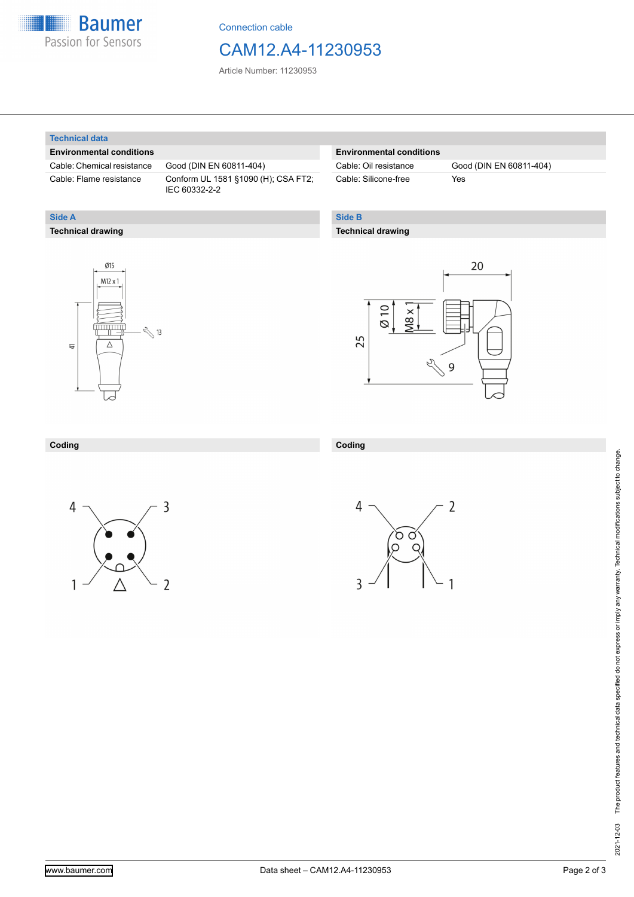

Connection cable

## CAM12.A4-11230953

Article Number: 11230953

#### **Technical data**

**Technical drawing**

**Side A**

#### **Environmental conditions**

Cable: Chemical resistance Good (DIN EN 60811-404)

Cable: Flame resistance Conform UL 1581 §1090 (H); CSA FT2; IEC 60332-2-2

#### **Environmental conditions**

| Cable: Oil resistance |  |
|-----------------------|--|
| Cable: Silicone-free  |  |

Good (DIN EN 60811-404) Yes

### **Side B**

#### **Technical drawing**





### **Coding**